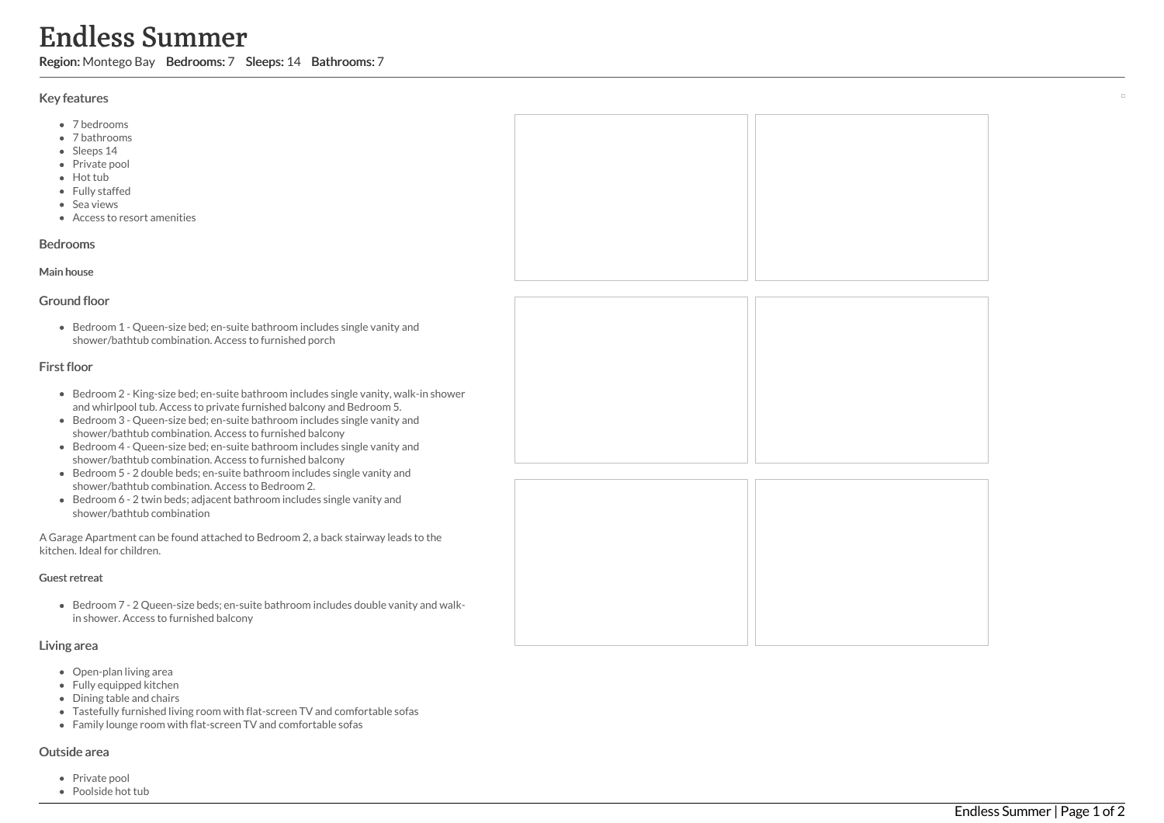# Endless Summer

Region: Montego Bay Bedrooms: 7 Sleeps: 14 Bathrooms: 7

## Key features

- 7 b e d r o o m s
- 7 bathrooms
- Sleeps 14
- Private pool
- Hot tub
- Fully staffed
- Sea views
- Access to resort amenities

#### **Bedrooms**

# M ain h o u s e

## Ground floor

Bedroom 1 - Queen-size bed; en-suite bathroom includes single vanity and shower/bathtub combination. Access to furnished porch

# First floor

- Bedroom 2 King-size bed; en-suite bathroom includes single vanity, walk-in shower and whirlpool tub. Access to private furnished balcony and Bedroom 5.
- Bedroom 3 Queen-size bed; en-suite bathroom includes single vanity a n d shower/bathtub combination. Access to furnished balcony
- Bedroom 4 Queen-size bed; en-suite bathroom includes single vanity and shower/bathtub combination. Access to furnished balcony
- Bedroom 5 2 double beds; en-suite bathroom includes single vanity and shower/bathtub combination. Access to Bedroom 2.
- Bedroom 6 2 twin beds; adjacent bathroom includes single vanity and shower/bathtub combination

A Garage Apartment can be found attached to Bedroom 2, a back stairway leads to the kitchen. Ideal for children.

#### Guest retreat

Bedroom 7 - 2 Queen-size beds; en-suite bathroom includes double vanity and walkin shower. Access to furnished balcony

#### Living area

- Open-plan living area
- Fully equipped kitchen
- Dining table and chairs
- Tastefully furnished living room with flat-screen TV and comfortable sofas
- Family lounge room with flat-screen TV and comfortable sofas

#### Outside area

- Private pool
- Poolside hot tub